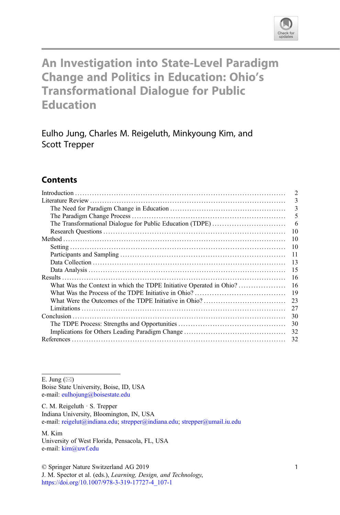

# An Investigation into State-Level Paradigm Change and Politics in Education: Ohio's Transformational Dialogue for Public Education

Eulho Jung, Charles M. Reigeluth, Minkyoung Kim, and Scott Trepper

# **Contents**

|                                                                                                                                                                                                                                                                                                                                                                                                                                                                                                                              | $\overline{2}$ |
|------------------------------------------------------------------------------------------------------------------------------------------------------------------------------------------------------------------------------------------------------------------------------------------------------------------------------------------------------------------------------------------------------------------------------------------------------------------------------------------------------------------------------|----------------|
|                                                                                                                                                                                                                                                                                                                                                                                                                                                                                                                              | 3              |
|                                                                                                                                                                                                                                                                                                                                                                                                                                                                                                                              | 3              |
|                                                                                                                                                                                                                                                                                                                                                                                                                                                                                                                              | 5              |
| The Transformational Dialogue for Public Education (TDPE)                                                                                                                                                                                                                                                                                                                                                                                                                                                                    | 6              |
|                                                                                                                                                                                                                                                                                                                                                                                                                                                                                                                              | 10             |
|                                                                                                                                                                                                                                                                                                                                                                                                                                                                                                                              | 10             |
|                                                                                                                                                                                                                                                                                                                                                                                                                                                                                                                              | 10             |
|                                                                                                                                                                                                                                                                                                                                                                                                                                                                                                                              | 11             |
|                                                                                                                                                                                                                                                                                                                                                                                                                                                                                                                              | 13             |
|                                                                                                                                                                                                                                                                                                                                                                                                                                                                                                                              | 15             |
|                                                                                                                                                                                                                                                                                                                                                                                                                                                                                                                              | 16             |
|                                                                                                                                                                                                                                                                                                                                                                                                                                                                                                                              | 16             |
|                                                                                                                                                                                                                                                                                                                                                                                                                                                                                                                              | 19             |
|                                                                                                                                                                                                                                                                                                                                                                                                                                                                                                                              | 23             |
| $Limitations \begin{equation} \begin{minipage}[c]{0.9\linewidth} \begin{minipage}[c]{0.9\linewidth} \begin{minipage}[c]{0.9\linewidth} \begin{minipage}[c]{0.9\linewidth} \begin{minipage}[c]{0.9\linewidth} \end{minipage}[c]{0.9\linewidth} \end{minipage} \end{minipage} \end{minipage} \begin{minipage}[c]{0.9\linewidth} \begin{minipage}[c]{0.9\linewidth} \begin{minipage}[c]{0.9\linewidth} \end{minipage} \end{minipage} \end{minipage} \end{minipage} \begin{minipage}[c]{0.9\linewidth} \begin{minipage}[c]{0.9\$ | 27             |
|                                                                                                                                                                                                                                                                                                                                                                                                                                                                                                                              | 30             |
|                                                                                                                                                                                                                                                                                                                                                                                                                                                                                                                              | 30             |
|                                                                                                                                                                                                                                                                                                                                                                                                                                                                                                                              | 32             |
|                                                                                                                                                                                                                                                                                                                                                                                                                                                                                                                              |                |
|                                                                                                                                                                                                                                                                                                                                                                                                                                                                                                                              |                |

E. Jung  $(\boxtimes)$ 

Boise State University, Boise, ID, USA e-mail: [eulhojung@boisestate.edu](mailto:eulhojung@boisestate.edu)

C. M. Reigeluth · S. Trepper Indiana University, Bloomington, IN, USA e-mail: [reigelut@indiana.edu](mailto:reigelut@indiana.edu); [strepper@indiana.edu](mailto:strepper@indiana.edu); [strepper@umail.iu.edu](mailto:strepper@umail.iu.edu)

M. Kim University of West Florida, Pensacola, FL, USA e-mail: [kim@uwf.edu](mailto:kim@uwf.edu)

© Springer Nature Switzerland AG 2019

J. M. Spector et al. (eds.), Learning, Design, and Technology, [https://doi.org/10.1007/978-3-319-17727-4\\_107-1](https://doi.org/10.1007/978-3-319-17727-4_107-1)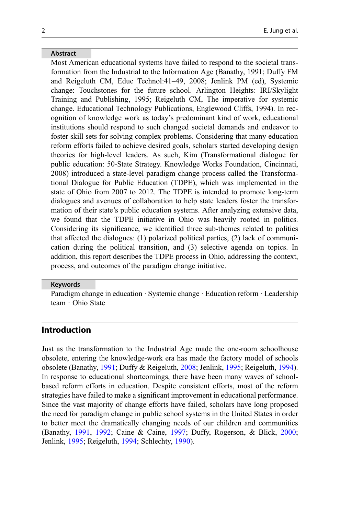#### Abstract

Most American educational systems have failed to respond to the societal transformation from the Industrial to the Information Age (Banathy, 1991; Duffy FM and Reigeluth CM, Educ Technol:41–49, 2008; Jenlink PM (ed), Systemic change: Touchstones for the future school. Arlington Heights: IRI/Skylight Training and Publishing, 1995; Reigeluth CM, The imperative for systemic change. Educational Technology Publications, Englewood Cliffs, 1994). In recognition of knowledge work as today's predominant kind of work, educational institutions should respond to such changed societal demands and endeavor to foster skill sets for solving complex problems. Considering that many education reform efforts failed to achieve desired goals, scholars started developing design theories for high-level leaders. As such, Kim (Transformational dialogue for public education: 50-State Strategy. Knowledge Works Foundation, Cincinnati, 2008) introduced a state-level paradigm change process called the Transformational Dialogue for Public Education (TDPE), which was implemented in the state of Ohio from 2007 to 2012. The TDPE is intended to promote long-term dialogues and avenues of collaboration to help state leaders foster the transformation of their state's public education systems. After analyzing extensive data, we found that the TDPE initiative in Ohio was heavily rooted in politics. Considering its significance, we identified three sub-themes related to politics that affected the dialogues: (1) polarized political parties, (2) lack of communication during the political transition, and (3) selective agenda on topics. In addition, this report describes the TDPE process in Ohio, addressing the context, process, and outcomes of the paradigm change initiative.

#### Keywords

Paradigm change in education · Systemic change · Education reform · Leadership team · Ohio State

## Introduction

Just as the transformation to the Industrial Age made the one-room schoolhouse obsolete, entering the knowledge-work era has made the factory model of schools obsolete (Banathy, [1991](#page-31-0); Duffy & Reigeluth, [2008](#page-32-0); Jenlink, [1995;](#page-32-0) Reigeluth, [1994\)](#page-32-0). In response to educational shortcomings, there have been many waves of schoolbased reform efforts in education. Despite consistent efforts, most of the reform strategies have failed to make a significant improvement in educational performance. Since the vast majority of change efforts have failed, scholars have long proposed the need for paradigm change in public school systems in the United States in order to better meet the dramatically changing needs of our children and communities (Banathy, [1991](#page-31-0), [1992](#page-31-0); Caine & Caine, [1997](#page-31-0); Duffy, Rogerson, & Blick, [2000;](#page-31-0) Jenlink, [1995;](#page-32-0) Reigeluth, [1994;](#page-32-0) Schlechty, [1990](#page-32-0)).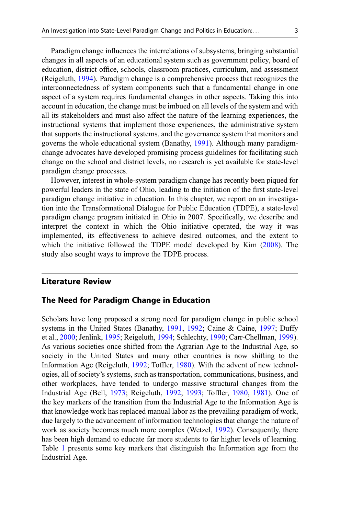Paradigm change influences the interrelations of subsystems, bringing substantial changes in all aspects of an educational system such as government policy, board of education, district office, schools, classroom practices, curriculum, and assessment (Reigeluth, [1994\)](#page-32-0). Paradigm change is a comprehensive process that recognizes the interconnectedness of system components such that a fundamental change in one aspect of a system requires fundamental changes in other aspects. Taking this into account in education, the change must be imbued on all levels of the system and with all its stakeholders and must also affect the nature of the learning experiences, the instructional systems that implement those experiences, the administrative system that supports the instructional systems, and the governance system that monitors and governs the whole educational system (Banathy, [1991\)](#page-31-0). Although many paradigmchange advocates have developed promising process guidelines for facilitating such change on the school and district levels, no research is yet available for state-level paradigm change processes.

However, interest in whole-system paradigm change has recently been piqued for powerful leaders in the state of Ohio, leading to the initiation of the first state-level paradigm change initiative in education. In this chapter, we report on an investigation into the Transformational Dialogue for Public Education (TDPE), a state-level paradigm change program initiated in Ohio in 2007. Specifically, we describe and interpret the context in which the Ohio initiative operated, the way it was implemented, its effectiveness to achieve desired outcomes, and the extent to which the initiative followed the TDPE model developed by Kim ([2008\)](#page-32-0). The study also sought ways to improve the TDPE process.

# Literature Review

### The Need for Paradigm Change in Education

Scholars have long proposed a strong need for paradigm change in public school systems in the United States (Banathy, [1991,](#page-31-0) [1992;](#page-31-0) Caine & Caine, [1997;](#page-31-0) Duffy et al., [2000](#page-31-0); Jenlink, [1995](#page-32-0); Reigeluth, [1994](#page-32-0); Schlechty, [1990](#page-32-0); Carr-Chellman, [1999\)](#page-31-0). As various societies once shifted from the Agrarian Age to the Industrial Age, so society in the United States and many other countries is now shifting to the Information Age (Reigeluth, [1992](#page-32-0); Toffler, [1980\)](#page-33-0). With the advent of new technologies, all of society's systems, such as transportation, communications, business, and other workplaces, have tended to undergo massive structural changes from the Industrial Age (Bell, [1973](#page-31-0); Reigeluth, [1992](#page-32-0), [1993;](#page-32-0) Toffler, [1980](#page-33-0), [1981\)](#page-33-0). One of the key markers of the transition from the Industrial Age to the Information Age is that knowledge work has replaced manual labor as the prevailing paradigm of work, due largely to the advancement of information technologies that change the nature of work as society becomes much more complex (Wetzel, [1992\)](#page-33-0). Consequently, there has been high demand to educate far more students to far higher levels of learning. Table [1](#page-3-0) presents some key markers that distinguish the Information age from the Industrial Age.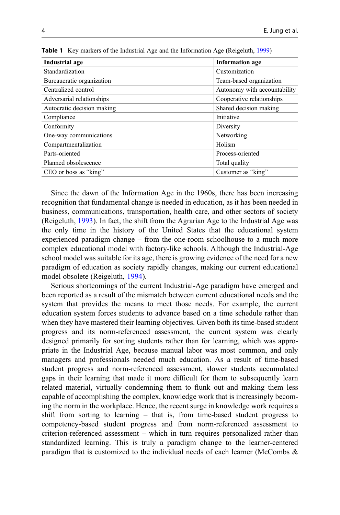| Industrial age             | <b>Information</b> age       |
|----------------------------|------------------------------|
| Standardization            | Customization                |
| Bureaucratic organization  | Team-based organization      |
| Centralized control        | Autonomy with accountability |
| Adversarial relationships  | Cooperative relationships    |
| Autocratic decision making | Shared decision making       |
| Compliance                 | Initiative                   |
| Conformity                 | Diversity                    |
| One-way communications     | Networking                   |
| Compartmentalization       | Holism                       |
| Parts-oriented             | Process-oriented             |
| Planned obsolescence       | Total quality                |
| CEO or boss as "king"      | Customer as "king"           |

<span id="page-3-0"></span>Table 1 Key markers of the Industrial Age and the Information Age (Reigeluth, [1999\)](#page-32-0)

Since the dawn of the Information Age in the 1960s, there has been increasing recognition that fundamental change is needed in education, as it has been needed in business, communications, transportation, health care, and other sectors of society (Reigeluth, [1993](#page-32-0)). In fact, the shift from the Agrarian Age to the Industrial Age was the only time in the history of the United States that the educational system experienced paradigm change – from the one-room schoolhouse to a much more complex educational model with factory-like schools. Although the Industrial-Age school model was suitable for its age, there is growing evidence of the need for a new paradigm of education as society rapidly changes, making our current educational model obsolete (Reigeluth, [1994](#page-32-0)).

Serious shortcomings of the current Industrial-Age paradigm have emerged and been reported as a result of the mismatch between current educational needs and the system that provides the means to meet those needs. For example, the current education system forces students to advance based on a time schedule rather than when they have mastered their learning objectives. Given both its time-based student progress and its norm-referenced assessment, the current system was clearly designed primarily for sorting students rather than for learning, which was appropriate in the Industrial Age, because manual labor was most common, and only managers and professionals needed much education. As a result of time-based student progress and norm-referenced assessment, slower students accumulated gaps in their learning that made it more difficult for them to subsequently learn related material, virtually condemning them to flunk out and making them less capable of accomplishing the complex, knowledge work that is increasingly becoming the norm in the workplace. Hence, the recent surge in knowledge work requires a shift from sorting to learning – that is, from time-based student progress to competency-based student progress and from norm-referenced assessment to criterion-referenced assessment – which in turn requires personalized rather than standardized learning. This is truly a paradigm change to the learner-centered paradigm that is customized to the individual needs of each learner (McCombs &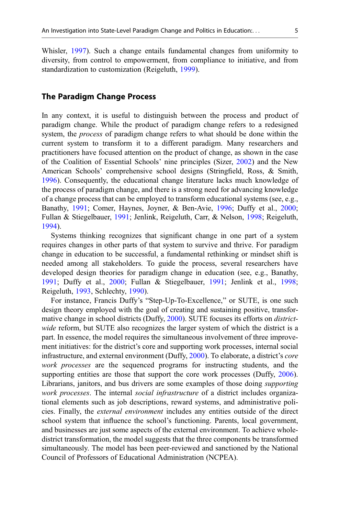Whisler, [1997\)](#page-32-0). Such a change entails fundamental changes from uniformity to diversity, from control to empowerment, from compliance to initiative, and from standardization to customization (Reigeluth, [1999\)](#page-32-0).

## The Paradigm Change Process

In any context, it is useful to distinguish between the process and product of paradigm change. While the product of paradigm change refers to a redesigned system, the *process* of paradigm change refers to what should be done within the current system to transform it to a different paradigm. Many researchers and practitioners have focused attention on the product of change, as shown in the case of the Coalition of Essential Schools' nine principles (Sizer, [2002\)](#page-32-0) and the New American Schools' comprehensive school designs (Stringfield, Ross, & Smith, [1996\)](#page-32-0). Consequently, the educational change literature lacks much knowledge of the process of paradigm change, and there is a strong need for advancing knowledge of a change process that can be employed to transform educational systems (see, e.g., Banathy, [1991](#page-31-0); Comer, Haynes, Joyner, & Ben-Avie, [1996;](#page-31-0) Duffy et al., [2000;](#page-31-0) Fullan & Stiegelbauer, [1991;](#page-32-0) Jenlink, Reigeluth, Carr, & Nelson, [1998;](#page-32-0) Reigeluth, [1994\)](#page-32-0).

Systems thinking recognizes that significant change in one part of a system requires changes in other parts of that system to survive and thrive. For paradigm change in education to be successful, a fundamental rethinking or mindset shift is needed among all stakeholders. To guide the process, several researchers have developed design theories for paradigm change in education (see, e.g., Banathy, [1991;](#page-31-0) Duffy et al., [2000](#page-31-0); Fullan & Stiegelbauer, [1991](#page-32-0); Jenlink et al., [1998;](#page-32-0) Reigeluth, [1993,](#page-32-0) Schlechty, [1990](#page-32-0)).

For instance, Francis Duffy's "Step-Up-To-Excellence," or SUTE, is one such design theory employed with the goal of creating and sustaining positive, transformative change in school districts (Duffy, [2000\)](#page-31-0). SUTE focuses its efforts on districtwide reform, but SUTE also recognizes the larger system of which the district is a part. In essence, the model requires the simultaneous involvement of three improvement initiatives: for the district's core and supporting work processes, internal social infrastructure, and external environment (Duffy, [2000\)](#page-31-0). To elaborate, a district's core work processes are the sequenced programs for instructing students, and the supporting entities are those that support the core work processes (Duffy, [2006\)](#page-31-0). Librarians, janitors, and bus drivers are some examples of those doing supporting work processes. The internal social infrastructure of a district includes organizational elements such as job descriptions, reward systems, and administrative policies. Finally, the external environment includes any entities outside of the direct school system that influence the school's functioning. Parents, local government, and businesses are just some aspects of the external environment. To achieve wholedistrict transformation, the model suggests that the three components be transformed simultaneously. The model has been peer-reviewed and sanctioned by the National Council of Professors of Educational Administration (NCPEA).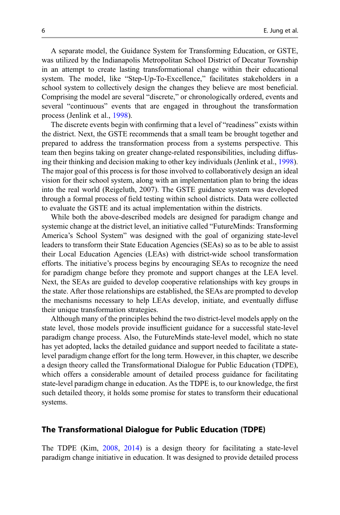A separate model, the Guidance System for Transforming Education, or GSTE, was utilized by the Indianapolis Metropolitan School District of Decatur Township in an attempt to create lasting transformational change within their educational system. The model, like "Step-Up-To-Excellence," facilitates stakeholders in a school system to collectively design the changes they believe are most beneficial. Comprising the model are several "discrete," or chronologically ordered, events and several "continuous" events that are engaged in throughout the transformation process (Jenlink et al., [1998\)](#page-32-0).

The discrete events begin with confirming that a level of "readiness" exists within the district. Next, the GSTE recommends that a small team be brought together and prepared to address the transformation process from a systems perspective. This team then begins taking on greater change-related responsibilities, including diffusing their thinking and decision making to other key individuals (Jenlink et al., [1998\)](#page-32-0). The major goal of this process is for those involved to collaboratively design an ideal vision for their school system, along with an implementation plan to bring the ideas into the real world (Reigeluth, 2007). The GSTE guidance system was developed through a formal process of field testing within school districts. Data were collected to evaluate the GSTE and its actual implementation within the districts.

While both the above-described models are designed for paradigm change and systemic change at the district level, an initiative called "FutureMinds: Transforming America's School System" was designed with the goal of organizing state-level leaders to transform their State Education Agencies (SEAs) so as to be able to assist their Local Education Agencies (LEAs) with district-wide school transformation efforts. The initiative's process begins by encouraging SEAs to recognize the need for paradigm change before they promote and support changes at the LEA level. Next, the SEAs are guided to develop cooperative relationships with key groups in the state. After those relationships are established, the SEAs are prompted to develop the mechanisms necessary to help LEAs develop, initiate, and eventually diffuse their unique transformation strategies.

Although many of the principles behind the two district-level models apply on the state level, those models provide insufficient guidance for a successful state-level paradigm change process. Also, the FutureMinds state-level model, which no state has yet adopted, lacks the detailed guidance and support needed to facilitate a statelevel paradigm change effort for the long term. However, in this chapter, we describe a design theory called the Transformational Dialogue for Public Education (TDPE), which offers a considerable amount of detailed process guidance for facilitating state-level paradigm change in education. As the TDPE is, to our knowledge, the first such detailed theory, it holds some promise for states to transform their educational systems.

#### The Transformational Dialogue for Public Education (TDPE)

The TDPE (Kim, [2008,](#page-32-0) [2014](#page-32-0)) is a design theory for facilitating a state-level paradigm change initiative in education. It was designed to provide detailed process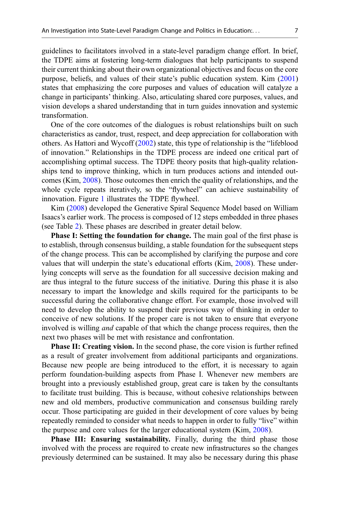guidelines to facilitators involved in a state-level paradigm change effort. In brief, the TDPE aims at fostering long-term dialogues that help participants to suspend their current thinking about their own organizational objectives and focus on the core purpose, beliefs, and values of their state's public education system. Kim [\(2001](#page-32-0)) states that emphasizing the core purposes and values of education will catalyze a change in participants' thinking. Also, articulating shared core purposes, values, and vision develops a shared understanding that in turn guides innovation and systemic transformation.

One of the core outcomes of the dialogues is robust relationships built on such characteristics as candor, trust, respect, and deep appreciation for collaboration with others. As Hattori and Wycoff [\(2002](#page-32-0)) state, this type of relationship is the "lifeblood of innovation." Relationships in the TDPE process are indeed one critical part of accomplishing optimal success. The TDPE theory posits that high-quality relationships tend to improve thinking, which in turn produces actions and intended outcomes (Kim, [2008\)](#page-32-0). Those outcomes then enrich the quality of relationships, and the whole cycle repeats iteratively, so the "flywheel" can achieve sustainability of innovation. Figure [1](#page-7-0) illustrates the TDPE flywheel.

Kim [\(2008](#page-32-0)) developed the Generative Spiral Sequence Model based on William Isaacs's earlier work. The process is composed of 12 steps embedded in three phases (see Table [2](#page-8-0)). These phases are described in greater detail below.

Phase I: Setting the foundation for change. The main goal of the first phase is to establish, through consensus building, a stable foundation for the subsequent steps of the change process. This can be accomplished by clarifying the purpose and core values that will underpin the state's educational efforts (Kim, [2008](#page-32-0)). These underlying concepts will serve as the foundation for all successive decision making and are thus integral to the future success of the initiative. During this phase it is also necessary to impart the knowledge and skills required for the participants to be successful during the collaborative change effort. For example, those involved will need to develop the ability to suspend their previous way of thinking in order to conceive of new solutions. If the proper care is not taken to ensure that everyone involved is willing and capable of that which the change process requires, then the next two phases will be met with resistance and confrontation.

**Phase II: Creating vision.** In the second phase, the core vision is further refined as a result of greater involvement from additional participants and organizations. Because new people are being introduced to the effort, it is necessary to again perform foundation-building aspects from Phase I. Whenever new members are brought into a previously established group, great care is taken by the consultants to facilitate trust building. This is because, without cohesive relationships between new and old members, productive communication and consensus building rarely occur. Those participating are guided in their development of core values by being repeatedly reminded to consider what needs to happen in order to fully "live" within the purpose and core values for the larger educational system (Kim, [2008](#page-32-0)).

Phase III: Ensuring sustainability. Finally, during the third phase those involved with the process are required to create new infrastructures so the changes previously determined can be sustained. It may also be necessary during this phase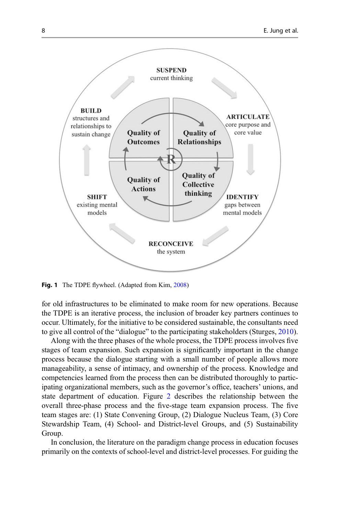<span id="page-7-0"></span>

Fig. 1 The TDPE flywheel. (Adapted from Kim, [2008](#page-32-0))

for old infrastructures to be eliminated to make room for new operations. Because the TDPE is an iterative process, the inclusion of broader key partners continues to occur. Ultimately, for the initiative to be considered sustainable, the consultants need to give all control of the "dialogue" to the participating stakeholders (Sturges, [2010\)](#page-32-0).

Along with the three phases of the whole process, the TDPE process involves five stages of team expansion. Such expansion is significantly important in the change process because the dialogue starting with a small number of people allows more manageability, a sense of intimacy, and ownership of the process. Knowledge and competencies learned from the process then can be distributed thoroughly to participating organizational members, such as the governor's office, teachers' unions, and state department of education. Figure [2](#page-8-0) describes the relationship between the overall three-phase process and the five-stage team expansion process. The five team stages are: (1) State Convening Group, (2) Dialogue Nucleus Team, (3) Core Stewardship Team, (4) School- and District-level Groups, and (5) Sustainability Group.

In conclusion, the literature on the paradigm change process in education focuses primarily on the contexts of school-level and district-level processes. For guiding the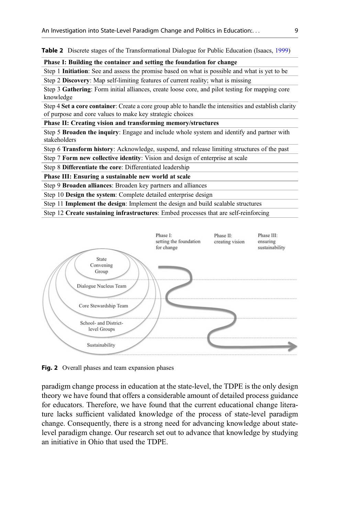<span id="page-8-0"></span>**Table 2** Discrete stages of the Transformational Dialogue for Public Education (Isaacs, [1999\)](#page-32-0)

#### Phase I: Building the container and setting the foundation for change

Step 1 Initiation: See and assess the promise based on what is possible and what is yet to be Step 2 **Discovery:** Map self-limiting features of current reality; what is missing

Step 3 Gathering: Form initial alliances, create loose core, and pilot testing for mapping core knowledge

Step 4 Set a core container: Create a core group able to handle the intensities and establish clarity of purpose and core values to make key strategic choices

#### Phase II: Creating vision and transforming memory/structures

Step 5 Broaden the inquiry: Engage and include whole system and identify and partner with stakeholders

Step 6 Transform history: Acknowledge, suspend, and release limiting structures of the past

Step 7 Form new collective identity: Vision and design of enterprise at scale

Step 8 Differentiate the core: Differentiated leadership

#### Phase III: Ensuring a sustainable new world at scale

Step 9 Broaden alliances: Broaden key partners and alliances

Step 10 Design the system: Complete detailed enterprise design

Step 11 Implement the design: Implement the design and build scalable structures

Step 12 Create sustaining infrastructures: Embed processes that are self-reinforcing



Fig. 2 Overall phases and team expansion phases

paradigm change process in education at the state-level, the TDPE is the only design theory we have found that offers a considerable amount of detailed process guidance for educators. Therefore, we have found that the current educational change literature lacks sufficient validated knowledge of the process of state-level paradigm change. Consequently, there is a strong need for advancing knowledge about statelevel paradigm change. Our research set out to advance that knowledge by studying an initiative in Ohio that used the TDPE.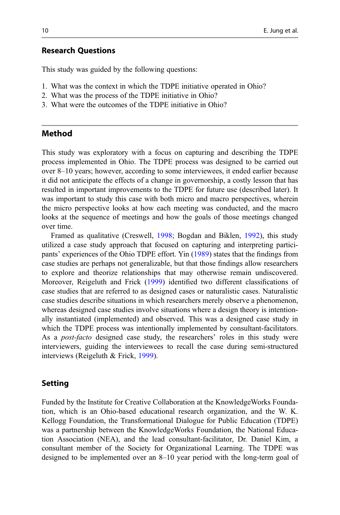#### Research Questions

This study was guided by the following questions:

- 1. What was the context in which the TDPE initiative operated in Ohio?
- 2. What was the process of the TDPE initiative in Ohio?
- 3. What were the outcomes of the TDPE initiative in Ohio?

## Method

This study was exploratory with a focus on capturing and describing the TDPE process implemented in Ohio. The TDPE process was designed to be carried out over 8–10 years; however, according to some interviewees, it ended earlier because it did not anticipate the effects of a change in governorship, a costly lesson that has resulted in important improvements to the TDPE for future use (described later). It was important to study this case with both micro and macro perspectives, wherein the micro perspective looks at how each meeting was conducted, and the macro looks at the sequence of meetings and how the goals of those meetings changed over time.

Framed as qualitative (Creswell, [1998;](#page-31-0) Bogdan and Biklen, [1992\)](#page-31-0), this study utilized a case study approach that focused on capturing and interpreting participants' experiences of the Ohio TDPE effort. Yin [\(1989](#page-33-0)) states that the findings from case studies are perhaps not generalizable, but that those findings allow researchers to explore and theorize relationships that may otherwise remain undiscovered. Moreover, Reigeluth and Frick [\(1999](#page-32-0)) identified two different classifications of case studies that are referred to as designed cases or naturalistic cases. Naturalistic case studies describe situations in which researchers merely observe a phenomenon, whereas designed case studies involve situations where a design theory is intentionally instantiated (implemented) and observed. This was a designed case study in which the TDPE process was intentionally implemented by consultant-facilitators. As a post-facto designed case study, the researchers' roles in this study were interviewers, guiding the interviewees to recall the case during semi-structured interviews (Reigeluth & Frick, [1999\)](#page-32-0).

#### Setting

Funded by the Institute for Creative Collaboration at the KnowledgeWorks Foundation, which is an Ohio-based educational research organization, and the W. K. Kellogg Foundation, the Transformational Dialogue for Public Education (TDPE) was a partnership between the KnowledgeWorks Foundation, the National Education Association (NEA), and the lead consultant-facilitator, Dr. Daniel Kim, a consultant member of the Society for Organizational Learning. The TDPE was designed to be implemented over an 8–10 year period with the long-term goal of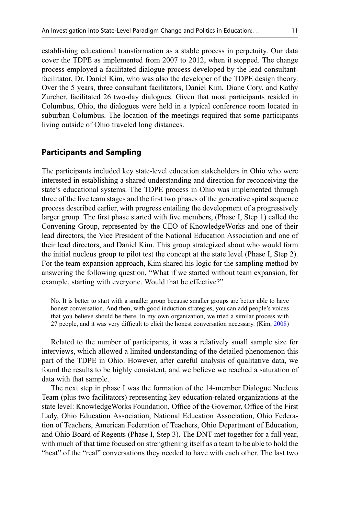establishing educational transformation as a stable process in perpetuity. Our data cover the TDPE as implemented from 2007 to 2012, when it stopped. The change process employed a facilitated dialogue process developed by the lead consultantfacilitator, Dr. Daniel Kim, who was also the developer of the TDPE design theory. Over the 5 years, three consultant facilitators, Daniel Kim, Diane Cory, and Kathy Zurcher, facilitated 26 two-day dialogues. Given that most participants resided in Columbus, Ohio, the dialogues were held in a typical conference room located in suburban Columbus. The location of the meetings required that some participants living outside of Ohio traveled long distances.

### Participants and Sampling

The participants included key state-level education stakeholders in Ohio who were interested in establishing a shared understanding and direction for reconceiving the state's educational systems. The TDPE process in Ohio was implemented through three of the five team stages and the first two phases of the generative spiral sequence process described earlier, with progress entailing the development of a progressively larger group. The first phase started with five members, (Phase I, Step 1) called the Convening Group, represented by the CEO of KnowledgeWorks and one of their lead directors, the Vice President of the National Education Association and one of their lead directors, and Daniel Kim. This group strategized about who would form the initial nucleus group to pilot test the concept at the state level (Phase I, Step 2). For the team expansion approach, Kim shared his logic for the sampling method by answering the following question, "What if we started without team expansion, for example, starting with everyone. Would that be effective?"

No. It is better to start with a smaller group because smaller groups are better able to have honest conversation. And then, with good induction strategies, you can add people's voices that you believe should be there. In my own organization, we tried a similar process with 27 people, and it was very difficult to elicit the honest conversation necessary. (Kim, [2008\)](#page-32-0)

Related to the number of participants, it was a relatively small sample size for interviews, which allowed a limited understanding of the detailed phenomenon this part of the TDPE in Ohio. However, after careful analysis of qualitative data, we found the results to be highly consistent, and we believe we reached a saturation of data with that sample.

The next step in phase I was the formation of the 14-member Dialogue Nucleus Team (plus two facilitators) representing key education-related organizations at the state level: KnowledgeWorks Foundation, Office of the Governor, Office of the First Lady, Ohio Education Association, National Education Association, Ohio Federation of Teachers, American Federation of Teachers, Ohio Department of Education, and Ohio Board of Regents (Phase I, Step 3). The DNT met together for a full year, with much of that time focused on strengthening itself as a team to be able to hold the "heat" of the "real" conversations they needed to have with each other. The last two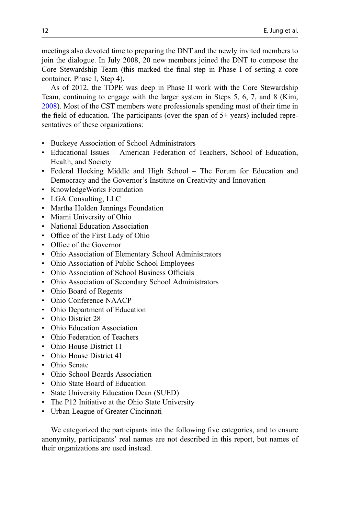meetings also devoted time to preparing the DNT and the newly invited members to join the dialogue. In July 2008, 20 new members joined the DNT to compose the Core Stewardship Team (this marked the final step in Phase I of setting a core container, Phase I, Step 4).

As of 2012, the TDPE was deep in Phase II work with the Core Stewardship Team, continuing to engage with the larger system in Steps 5, 6, 7, and 8 (Kim, [2008\)](#page-32-0). Most of the CST members were professionals spending most of their time in the field of education. The participants (over the span of 5+ years) included representatives of these organizations:

- Buckeye Association of School Administrators
- Educational Issues American Federation of Teachers, School of Education, Health, and Society
- Federal Hocking Middle and High School The Forum for Education and Democracy and the Governor's Institute on Creativity and Innovation
- KnowledgeWorks Foundation
- LGA Consulting, LLC
- Martha Holden Jennings Foundation
- Miami University of Ohio
- National Education Association
- Office of the First Lady of Ohio
- Office of the Governor
- Ohio Association of Elementary School Administrators
- Ohio Association of Public School Employees
- Ohio Association of School Business Officials
- Ohio Association of Secondary School Administrators
- Ohio Board of Regents
- Ohio Conference NAACP
- Ohio Department of Education
- Ohio District 28
- Ohio Education Association
- Ohio Federation of Teachers
- Ohio House District 11
- Ohio House District 41
- Ohio Senate
- Ohio School Boards Association
- Ohio State Board of Education
- State University Education Dean (SUED)
- The P12 Initiative at the Ohio State University
- Urban League of Greater Cincinnati

We categorized the participants into the following five categories, and to ensure anonymity, participants' real names are not described in this report, but names of their organizations are used instead.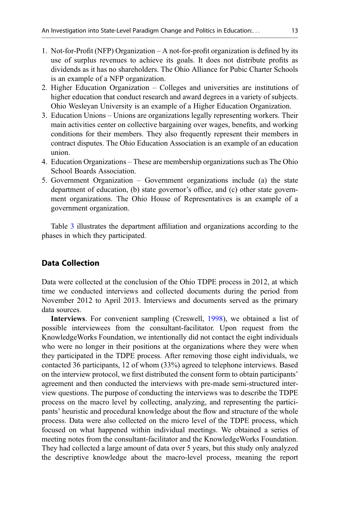- 1. Not-for-Profit (NFP) Organization A not-for-profit organization is defined by its use of surplus revenues to achieve its goals. It does not distribute profits as dividends as it has no shareholders. The Ohio Alliance for Pubic Charter Schools is an example of a NFP organization.
- 2. Higher Education Organization Colleges and universities are institutions of higher education that conduct research and award degrees in a variety of subjects. Ohio Wesleyan University is an example of a Higher Education Organization.
- 3. Education Unions Unions are organizations legally representing workers. Their main activities center on collective bargaining over wages, benefits, and working conditions for their members. They also frequently represent their members in contract disputes. The Ohio Education Association is an example of an education union.
- 4. Education Organizations These are membership organizations such as The Ohio School Boards Association.
- 5. Government Organization Government organizations include (a) the state department of education, (b) state governor's office, and (c) other state government organizations. The Ohio House of Representatives is an example of a government organization.

Table [3](#page-13-0) illustrates the department affiliation and organizations according to the phases in which they participated.

# Data Collection

Data were collected at the conclusion of the Ohio TDPE process in 2012, at which time we conducted interviews and collected documents during the period from November 2012 to April 2013. Interviews and documents served as the primary data sources.

Interviews. For convenient sampling (Creswell, [1998](#page-31-0)), we obtained a list of possible interviewees from the consultant-facilitator. Upon request from the KnowledgeWorks Foundation, we intentionally did not contact the eight individuals who were no longer in their positions at the organizations where they were when they participated in the TDPE process. After removing those eight individuals, we contacted 36 participants, 12 of whom (33%) agreed to telephone interviews. Based on the interview protocol, we first distributed the consent form to obtain participants' agreement and then conducted the interviews with pre-made semi-structured interview questions. The purpose of conducting the interviews was to describe the TDPE process on the macro level by collecting, analyzing, and representing the participants' heuristic and procedural knowledge about the flow and structure of the whole process. Data were also collected on the micro level of the TDPE process, which focused on what happened within individual meetings. We obtained a series of meeting notes from the consultant-facilitator and the KnowledgeWorks Foundation. They had collected a large amount of data over 5 years, but this study only analyzed the descriptive knowledge about the macro-level process, meaning the report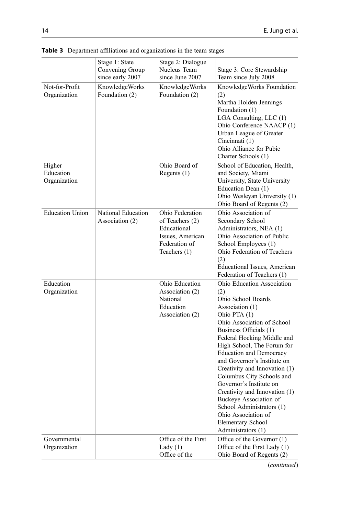|                                     | Stage 1: State<br>Convening Group<br>since early 2007 | Stage 2: Dialogue<br>Nucleus Team<br>since June 2007                                                   | Stage 3: Core Stewardship<br>Team since July 2008                                                                                                                                                                                                                                                                                                                                                                                                                                                                                  |
|-------------------------------------|-------------------------------------------------------|--------------------------------------------------------------------------------------------------------|------------------------------------------------------------------------------------------------------------------------------------------------------------------------------------------------------------------------------------------------------------------------------------------------------------------------------------------------------------------------------------------------------------------------------------------------------------------------------------------------------------------------------------|
| Not-for-Profit<br>Organization      | KnowledgeWorks<br>Foundation (2)                      | KnowledgeWorks<br>Foundation (2)                                                                       | KnowledgeWorks Foundation<br>(2)<br>Martha Holden Jennings<br>Foundation (1)<br>LGA Consulting, LLC (1)<br>Ohio Conference NAACP (1)<br>Urban League of Greater<br>Cincinnati (1)<br>Ohio Alliance for Pubic<br>Charter Schools (1)                                                                                                                                                                                                                                                                                                |
| Higher<br>Education<br>Organization |                                                       | Ohio Board of<br>Regents $(1)$                                                                         | School of Education, Health,<br>and Society, Miami<br>University, State University<br>Education Dean (1)<br>Ohio Wesleyan University (1)<br>Ohio Board of Regents (2)                                                                                                                                                                                                                                                                                                                                                              |
| <b>Education Union</b>              | National Education<br>Association (2)                 | Ohio Federation<br>of Teachers (2)<br>Educational<br>Issues, American<br>Federation of<br>Teachers (1) | Ohio Association of<br>Secondary School<br>Administrators, NEA (1)<br>Ohio Association of Public<br>School Employees (1)<br>Ohio Federation of Teachers<br>(2)<br>Educational Issues, American<br>Federation of Teachers (1)                                                                                                                                                                                                                                                                                                       |
| Education<br>Organization           |                                                       | Ohio Education<br>Association (2)<br>National<br>Education<br>Association (2)                          | Ohio Education Association<br>(2)<br>Ohio School Boards<br>Association (1)<br>Ohio PTA (1)<br>Ohio Association of School<br>Business Officials (1)<br>Federal Hocking Middle and<br>High School, The Forum for<br><b>Education and Democracy</b><br>and Governor's Institute on<br>Creativity and Innovation (1)<br>Columbus City Schools and<br>Governor's Institute on<br>Creativity and Innovation (1)<br>Buckeye Association of<br>School Administrators (1)<br>Ohio Association of<br>Elementary School<br>Administrators (1) |
| Governmental<br>Organization        |                                                       | Office of the First<br>Lady $(1)$<br>Office of the                                                     | Office of the Governor (1)<br>Office of the First Lady (1)<br>Ohio Board of Regents (2)                                                                                                                                                                                                                                                                                                                                                                                                                                            |

<span id="page-13-0"></span>Table 3 Department affiliations and organizations in the team stages

(continued)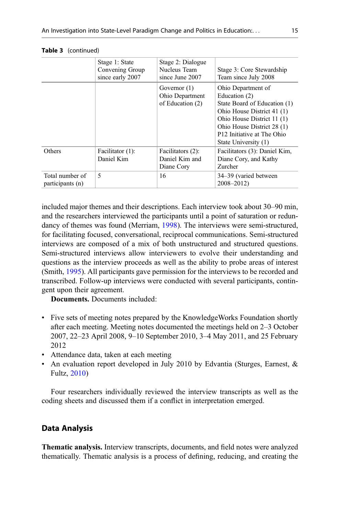|                                     | Stage 1: State<br>Convening Group<br>since early 2007 | Stage 2: Dialogue<br>Nucleus Team<br>since June 2007  | Stage 3: Core Stewardship<br>Team since July 2008                                                                                                                                                                               |
|-------------------------------------|-------------------------------------------------------|-------------------------------------------------------|---------------------------------------------------------------------------------------------------------------------------------------------------------------------------------------------------------------------------------|
|                                     |                                                       | Governor $(1)$<br>Ohio Department<br>of Education (2) | Ohio Department of<br>Education (2)<br>State Board of Education (1)<br>Ohio House District 41 (1)<br>Ohio House District 11 (1)<br>Ohio House District 28 (1)<br>P <sub>12</sub> Initiative at The Ohio<br>State University (1) |
| Others                              | Facilitator (1):<br>Daniel Kim                        | Facilitators (2):<br>Daniel Kim and<br>Diane Cory     | Facilitators (3): Daniel Kim,<br>Diane Cory, and Kathy<br>Zurcher                                                                                                                                                               |
| Total number of<br>participants (n) | $\overline{\phantom{0}}$                              | 16                                                    | 34–39 (varied between<br>$2008 - 2012$                                                                                                                                                                                          |

| Table 3 | (continued) |
|---------|-------------|
|---------|-------------|

included major themes and their descriptions. Each interview took about 30–90 min, and the researchers interviewed the participants until a point of saturation or redundancy of themes was found (Merriam, [1998](#page-32-0)). The interviews were semi-structured, for facilitating focused, conversational, reciprocal communications. Semi-structured interviews are composed of a mix of both unstructured and structured questions. Semi-structured interviews allow interviewers to evolve their understanding and questions as the interview proceeds as well as the ability to probe areas of interest (Smith, [1995](#page-32-0)). All participants gave permission for the interviews to be recorded and transcribed. Follow-up interviews were conducted with several participants, contingent upon their agreement.

Documents. Documents included:

- Five sets of meeting notes prepared by the KnowledgeWorks Foundation shortly after each meeting. Meeting notes documented the meetings held on 2–3 October 2007, 22–23 April 2008, 9–10 September 2010, 3–4 May 2011, and 25 February 2012
- Attendance data, taken at each meeting
- An evaluation report developed in July 2010 by Edvantia (Sturges, Earnest, & Fultz, [2010](#page-32-0))

Four researchers individually reviewed the interview transcripts as well as the coding sheets and discussed them if a conflict in interpretation emerged.

### Data Analysis

Thematic analysis. Interview transcripts, documents, and field notes were analyzed thematically. Thematic analysis is a process of defining, reducing, and creating the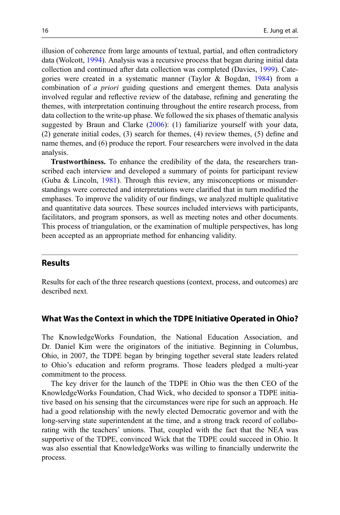illusion of coherence from large amounts of textual, partial, and often contradictory data (Wolcott, [1994\)](#page-33-0). Analysis was a recursive process that began during initial data collection and continued after data collection was completed (Davies, [1999\)](#page-31-0). Categories were created in a systematic manner (Taylor & Bogdan, [1984\)](#page-32-0) from a combination of a priori guiding questions and emergent themes. Data analysis involved regular and reflective review of the database, refining and generating the themes, with interpretation continuing throughout the entire research process, from data collection to the write-up phase. We followed the six phases of thematic analysis suggested by Braun and Clarke ([2006\)](#page-31-0): (1) familiarize yourself with your data, (2) generate initial codes, (3) search for themes, (4) review themes, (5) define and name themes, and (6) produce the report. Four researchers were involved in the data analysis.

Trustworthiness. To enhance the credibility of the data, the researchers transcribed each interview and developed a summary of points for participant review (Guba & Lincoln, [1981](#page-32-0)). Through this review, any misconceptions or misunderstandings were corrected and interpretations were clarified that in turn modified the emphases. To improve the validity of our findings, we analyzed multiple qualitative and quantitative data sources. These sources included interviews with participants, facilitators, and program sponsors, as well as meeting notes and other documents. This process of triangulation, or the examination of multiple perspectives, has long been accepted as an appropriate method for enhancing validity.

# Results

Results for each of the three research questions (context, process, and outcomes) are described next.

#### What Was the Context in which the TDPE Initiative Operated in Ohio?

The KnowledgeWorks Foundation, the National Education Association, and Dr. Daniel Kim were the originators of the initiative. Beginning in Columbus, Ohio, in 2007, the TDPE began by bringing together several state leaders related to Ohio's education and reform programs. Those leaders pledged a multi-year commitment to the process.

The key driver for the launch of the TDPE in Ohio was the then CEO of the KnowledgeWorks Foundation, Chad Wick, who decided to sponsor a TDPE initiative based on his sensing that the circumstances were ripe for such an approach. He had a good relationship with the newly elected Democratic governor and with the long-serving state superintendent at the time, and a strong track record of collaborating with the teachers' unions. That, coupled with the fact that the NEA was supportive of the TDPE, convinced Wick that the TDPE could succeed in Ohio. It was also essential that KnowledgeWorks was willing to financially underwrite the process.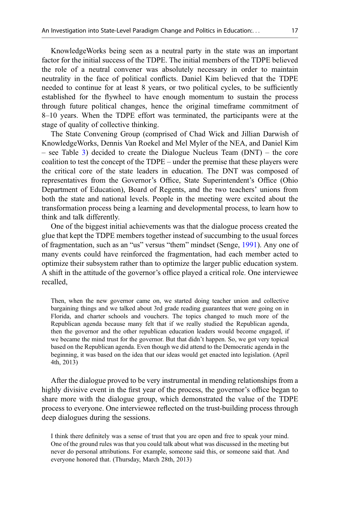KnowledgeWorks being seen as a neutral party in the state was an important factor for the initial success of the TDPE. The initial members of the TDPE believed the role of a neutral convener was absolutely necessary in order to maintain neutrality in the face of political conflicts. Daniel Kim believed that the TDPE needed to continue for at least 8 years, or two political cycles, to be sufficiently established for the flywheel to have enough momentum to sustain the process through future political changes, hence the original timeframe commitment of 8–10 years. When the TDPE effort was terminated, the participants were at the stage of quality of collective thinking.

The State Convening Group (comprised of Chad Wick and Jillian Darwish of KnowledgeWorks, Dennis Van Roekel and Mel Myler of the NEA, and Daniel Kim – see Table [3\)](#page-13-0) decided to create the Dialogue Nucleus Team (DNT) – the core coalition to test the concept of the TDPE – under the premise that these players were the critical core of the state leaders in education. The DNT was composed of representatives from the Governor's Office, State Superintendent's Office (Ohio Department of Education), Board of Regents, and the two teachers' unions from both the state and national levels. People in the meeting were excited about the transformation process being a learning and developmental process, to learn how to think and talk differently.

One of the biggest initial achievements was that the dialogue process created the glue that kept the TDPE members together instead of succumbing to the usual forces of fragmentation, such as an "us" versus "them" mindset (Senge, [1991\)](#page-32-0). Any one of many events could have reinforced the fragmentation, had each member acted to optimize their subsystem rather than to optimize the larger public education system. A shift in the attitude of the governor's office played a critical role. One interviewee recalled,

Then, when the new governor came on, we started doing teacher union and collective bargaining things and we talked about 3rd grade reading guarantees that were going on in Florida, and charter schools and vouchers. The topics changed to much more of the Republican agenda because many felt that if we really studied the Republican agenda, then the governor and the other republican education leaders would become engaged, if we became the mind trust for the governor. But that didn't happen. So, we got very topical based on the Republican agenda. Even though we did attend to the Democratic agenda in the beginning, it was based on the idea that our ideas would get enacted into legislation. (April 4th, 2013)

After the dialogue proved to be very instrumental in mending relationships from a highly divisive event in the first year of the process, the governor's office began to share more with the dialogue group, which demonstrated the value of the TDPE process to everyone. One interviewee reflected on the trust-building process through deep dialogues during the sessions.

I think there definitely was a sense of trust that you are open and free to speak your mind. One of the ground rules was that you could talk about what was discussed in the meeting but never do personal attributions. For example, someone said this, or someone said that. And everyone honored that. (Thursday, March 28th, 2013)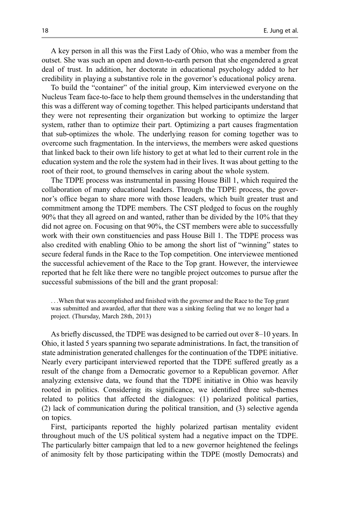A key person in all this was the First Lady of Ohio, who was a member from the outset. She was such an open and down-to-earth person that she engendered a great deal of trust. In addition, her doctorate in educational psychology added to her credibility in playing a substantive role in the governor's educational policy arena.

To build the "container" of the initial group, Kim interviewed everyone on the Nucleus Team face-to-face to help them ground themselves in the understanding that this was a different way of coming together. This helped participants understand that they were not representing their organization but working to optimize the larger system, rather than to optimize their part. Optimizing a part causes fragmentation that sub-optimizes the whole. The underlying reason for coming together was to overcome such fragmentation. In the interviews, the members were asked questions that linked back to their own life history to get at what led to their current role in the education system and the role the system had in their lives. It was about getting to the root of their root, to ground themselves in caring about the whole system.

The TDPE process was instrumental in passing House Bill 1, which required the collaboration of many educational leaders. Through the TDPE process, the governor's office began to share more with those leaders, which built greater trust and commitment among the TDPE members. The CST pledged to focus on the roughly 90% that they all agreed on and wanted, rather than be divided by the 10% that they did not agree on. Focusing on that 90%, the CST members were able to successfully work with their own constituencies and pass House Bill 1. The TDPE process was also credited with enabling Ohio to be among the short list of "winning" states to secure federal funds in the Race to the Top competition. One interviewee mentioned the successful achievement of the Race to the Top grant. However, the interviewee reported that he felt like there were no tangible project outcomes to pursue after the successful submissions of the bill and the grant proposal:

...When that was accomplished and finished with the governor and the Race to the Top grant was submitted and awarded, after that there was a sinking feeling that we no longer had a project. (Thursday, March 28th, 2013)

As briefly discussed, the TDPE was designed to be carried out over 8–10 years. In Ohio, it lasted 5 years spanning two separate administrations. In fact, the transition of state administration generated challenges for the continuation of the TDPE initiative. Nearly every participant interviewed reported that the TDPE suffered greatly as a result of the change from a Democratic governor to a Republican governor. After analyzing extensive data, we found that the TDPE initiative in Ohio was heavily rooted in politics. Considering its significance, we identified three sub-themes related to politics that affected the dialogues: (1) polarized political parties, (2) lack of communication during the political transition, and (3) selective agenda on topics.

First, participants reported the highly polarized partisan mentality evident throughout much of the US political system had a negative impact on the TDPE. The particularly bitter campaign that led to a new governor heightened the feelings of animosity felt by those participating within the TDPE (mostly Democrats) and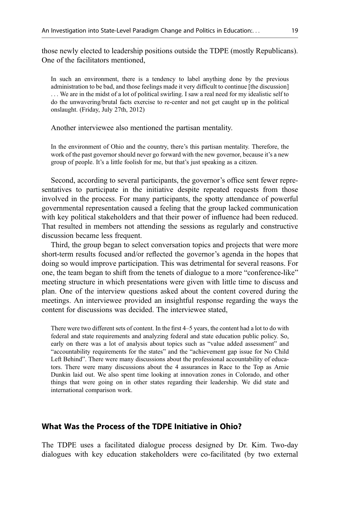those newly elected to leadership positions outside the TDPE (mostly Republicans). One of the facilitators mentioned,

In such an environment, there is a tendency to label anything done by the previous administration to be bad, and those feelings made it very difficult to continue [the discussion] ... We are in the midst of a lot of political swirling. I saw a real need for my idealistic self to do the unwavering/brutal facts exercise to re-center and not get caught up in the political onslaught. (Friday, July 27th, 2012)

Another interviewee also mentioned the partisan mentality.

In the environment of Ohio and the country, there's this partisan mentality. Therefore, the work of the past governor should never go forward with the new governor, because it's a new group of people. It's a little foolish for me, but that's just speaking as a citizen.

Second, according to several participants, the governor's office sent fewer representatives to participate in the initiative despite repeated requests from those involved in the process. For many participants, the spotty attendance of powerful governmental representation caused a feeling that the group lacked communication with key political stakeholders and that their power of influence had been reduced. That resulted in members not attending the sessions as regularly and constructive discussion became less frequent.

Third, the group began to select conversation topics and projects that were more short-term results focused and/or reflected the governor's agenda in the hopes that doing so would improve participation. This was detrimental for several reasons. For one, the team began to shift from the tenets of dialogue to a more "conference-like" meeting structure in which presentations were given with little time to discuss and plan. One of the interview questions asked about the content covered during the meetings. An interviewee provided an insightful response regarding the ways the content for discussions was decided. The interviewee stated,

There were two different sets of content. In the first 4–5 years, the content had a lot to do with federal and state requirements and analyzing federal and state education public policy. So, early on there was a lot of analysis about topics such as "value added assessment" and "accountability requirements for the states" and the "achievement gap issue for No Child Left Behind". There were many discussions about the professional accountability of educators. There were many discussions about the 4 assurances in Race to the Top as Arnie Dunkin laid out. We also spent time looking at innovation zones in Colorado, and other things that were going on in other states regarding their leadership. We did state and international comparison work.

# What Was the Process of the TDPE Initiative in Ohio?

The TDPE uses a facilitated dialogue process designed by Dr. Kim. Two-day dialogues with key education stakeholders were co-facilitated (by two external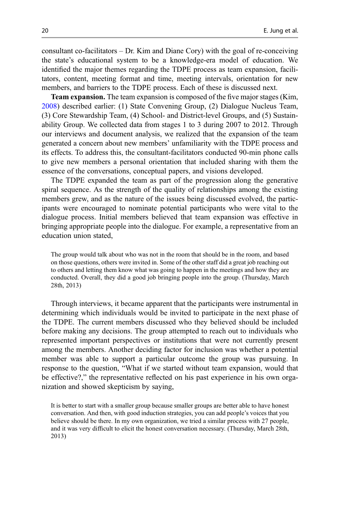consultant co-facilitators – Dr. Kim and Diane Cory) with the goal of re-conceiving the state's educational system to be a knowledge-era model of education. We identified the major themes regarding the TDPE process as team expansion, facilitators, content, meeting format and time, meeting intervals, orientation for new members, and barriers to the TDPE process. Each of these is discussed next.

Team expansion. The team expansion is composed of the five major stages (Kim, [2008\)](#page-32-0) described earlier: (1) State Convening Group, (2) Dialogue Nucleus Team, (3) Core Stewardship Team, (4) School- and District-level Groups, and (5) Sustainability Group. We collected data from stages 1 to 3 during 2007 to 2012. Through our interviews and document analysis, we realized that the expansion of the team generated a concern about new members' unfamiliarity with the TDPE process and its effects. To address this, the consultant-facilitators conducted 90-min phone calls to give new members a personal orientation that included sharing with them the essence of the conversations, conceptual papers, and visions developed.

The TDPE expanded the team as part of the progression along the generative spiral sequence. As the strength of the quality of relationships among the existing members grew, and as the nature of the issues being discussed evolved, the participants were encouraged to nominate potential participants who were vital to the dialogue process. Initial members believed that team expansion was effective in bringing appropriate people into the dialogue. For example, a representative from an education union stated,

The group would talk about who was not in the room that should be in the room, and based on those questions, others were invited in. Some of the other staff did a great job reaching out to others and letting them know what was going to happen in the meetings and how they are conducted. Overall, they did a good job bringing people into the group. (Thursday, March 28th, 2013)

Through interviews, it became apparent that the participants were instrumental in determining which individuals would be invited to participate in the next phase of the TDPE. The current members discussed who they believed should be included before making any decisions. The group attempted to reach out to individuals who represented important perspectives or institutions that were not currently present among the members. Another deciding factor for inclusion was whether a potential member was able to support a particular outcome the group was pursuing. In response to the question, "What if we started without team expansion, would that be effective?," the representative reflected on his past experience in his own organization and showed skepticism by saying,

It is better to start with a smaller group because smaller groups are better able to have honest conversation. And then, with good induction strategies, you can add people's voices that you believe should be there. In my own organization, we tried a similar process with 27 people, and it was very difficult to elicit the honest conversation necessary. (Thursday, March 28th, 2013)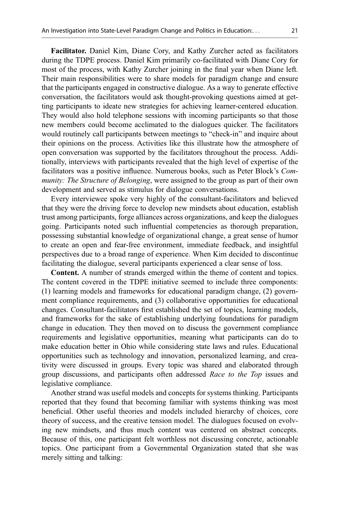Facilitator. Daniel Kim, Diane Cory, and Kathy Zurcher acted as facilitators during the TDPE process. Daniel Kim primarily co-facilitated with Diane Cory for most of the process, with Kathy Zurcher joining in the final year when Diane left. Their main responsibilities were to share models for paradigm change and ensure that the participants engaged in constructive dialogue. As a way to generate effective conversation, the facilitators would ask thought-provoking questions aimed at getting participants to ideate new strategies for achieving learner-centered education. They would also hold telephone sessions with incoming participants so that those new members could become acclimated to the dialogues quicker. The facilitators would routinely call participants between meetings to "check-in" and inquire about their opinions on the process. Activities like this illustrate how the atmosphere of open conversation was supported by the facilitators throughout the process. Additionally, interviews with participants revealed that the high level of expertise of the facilitators was a positive influence. Numerous books, such as Peter Block's Community: The Structure of Belonging, were assigned to the group as part of their own development and served as stimulus for dialogue conversations.

Every interviewee spoke very highly of the consultant-facilitators and believed that they were the driving force to develop new mindsets about education, establish trust among participants, forge alliances across organizations, and keep the dialogues going. Participants noted such influential competencies as thorough preparation, possessing substantial knowledge of organizational change, a great sense of humor to create an open and fear-free environment, immediate feedback, and insightful perspectives due to a broad range of experience. When Kim decided to discontinue facilitating the dialogue, several participants experienced a clear sense of loss.

Content. A number of strands emerged within the theme of content and topics. The content covered in the TDPE initiative seemed to include three components: (1) learning models and frameworks for educational paradigm change, (2) government compliance requirements, and (3) collaborative opportunities for educational changes. Consultant-facilitators first established the set of topics, learning models, and frameworks for the sake of establishing underlying foundations for paradigm change in education. They then moved on to discuss the government compliance requirements and legislative opportunities, meaning what participants can do to make education better in Ohio while considering state laws and rules. Educational opportunities such as technology and innovation, personalized learning, and creativity were discussed in groups. Every topic was shared and elaborated through group discussions, and participants often addressed Race to the Top issues and legislative compliance.

Another strand was useful models and concepts for systems thinking. Participants reported that they found that becoming familiar with systems thinking was most beneficial. Other useful theories and models included hierarchy of choices, core theory of success, and the creative tension model. The dialogues focused on evolving new mindsets, and thus much content was centered on abstract concepts. Because of this, one participant felt worthless not discussing concrete, actionable topics. One participant from a Governmental Organization stated that she was merely sitting and talking: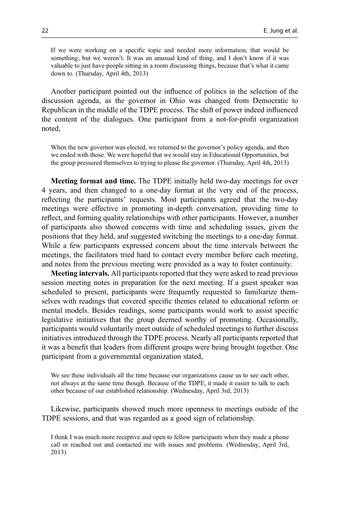If we were working on a specific topic and needed more information, that would be something; but we weren't. It was an unusual kind of thing, and I don't know if it was valuable to just have people sitting in a room discussing things, because that's what it came down to. (Thursday, April 4th, 2013)

Another participant pointed out the influence of politics in the selection of the discussion agenda, as the governor in Ohio was changed from Democratic to Republican in the middle of the TDPE process. The shift of power indeed influenced the content of the dialogues. One participant from a not-for-profit organization noted,

When the new governor was elected, we returned to the governor's policy agenda, and then we ended with those. We were hopeful that we would stay in Educational Opportunities, but the group pressured themselves to trying to please the governor. (Thursday, April 4th, 2013)

Meeting format and time. The TDPE initially held two-day meetings for over 4 years, and then changed to a one-day format at the very end of the process, reflecting the participants' requests. Most participants agreed that the two-day meetings were effective in promoting in-depth conversation, providing time to reflect, and forming quality relationships with other participants. However, a number of participants also showed concerns with time and scheduling issues, given the positions that they held, and suggested switching the meetings to a one-day format. While a few participants expressed concern about the time intervals between the meetings, the facilitators tried hard to contact every member before each meeting, and notes from the previous meeting were provided as a way to foster continuity.

Meeting intervals. All participants reported that they were asked to read previous session meeting notes in preparation for the next meeting. If a guest speaker was scheduled to present, participants were frequently requested to familiarize themselves with readings that covered specific themes related to educational reform or mental models. Besides readings, some participants would work to assist specific legislative initiatives that the group deemed worthy of promoting. Occasionally, participants would voluntarily meet outside of scheduled meetings to further discuss initiatives introduced through the TDPE process. Nearly all participants reported that it was a benefit that leaders from different groups were being brought together. One participant from a governmental organization stated,

We see these individuals all the time because our organizations cause us to see each other, not always at the same time though. Because of the TDPE, it made it easier to talk to each other because of our established relationship. (Wednesday, April 3rd, 2013)

Likewise, participants showed much more openness to meetings outside of the TDPE sessions, and that was regarded as a good sign of relationship.

I think I was much more receptive and open to fellow participants when they made a phone call or reached out and contacted me with issues and problems. (Wednesday, April 3rd, 2013)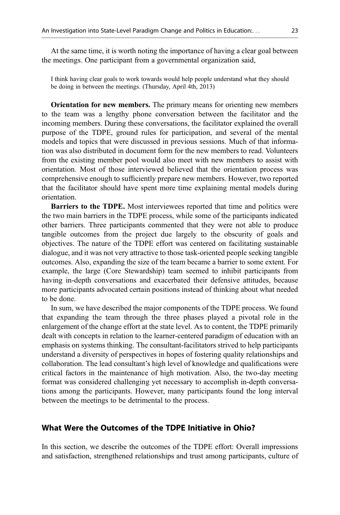At the same time, it is worth noting the importance of having a clear goal between the meetings. One participant from a governmental organization said,

I think having clear goals to work towards would help people understand what they should be doing in between the meetings. (Thursday, April 4th, 2013)

Orientation for new members. The primary means for orienting new members to the team was a lengthy phone conversation between the facilitator and the incoming members. During these conversations, the facilitator explained the overall purpose of the TDPE, ground rules for participation, and several of the mental models and topics that were discussed in previous sessions. Much of that information was also distributed in document form for the new members to read. Volunteers from the existing member pool would also meet with new members to assist with orientation. Most of those interviewed believed that the orientation process was comprehensive enough to sufficiently prepare new members. However, two reported that the facilitator should have spent more time explaining mental models during orientation.

Barriers to the TDPE. Most interviewees reported that time and politics were the two main barriers in the TDPE process, while some of the participants indicated other barriers. Three participants commented that they were not able to produce tangible outcomes from the project due largely to the obscurity of goals and objectives. The nature of the TDPE effort was centered on facilitating sustainable dialogue, and it was not very attractive to those task-oriented people seeking tangible outcomes. Also, expanding the size of the team became a barrier to some extent. For example, the large (Core Stewardship) team seemed to inhibit participants from having in-depth conversations and exacerbated their defensive attitudes, because more participants advocated certain positions instead of thinking about what needed to be done.

In sum, we have described the major components of the TDPE process. We found that expanding the team through the three phases played a pivotal role in the enlargement of the change effort at the state level. As to content, the TDPE primarily dealt with concepts in relation to the learner-centered paradigm of education with an emphasis on systems thinking. The consultant-facilitators strived to help participants understand a diversity of perspectives in hopes of fostering quality relationships and collaboration. The lead consultant's high level of knowledge and qualifications were critical factors in the maintenance of high motivation. Also, the two-day meeting format was considered challenging yet necessary to accomplish in-depth conversations among the participants. However, many participants found the long interval between the meetings to be detrimental to the process.

## What Were the Outcomes of the TDPE Initiative in Ohio?

In this section, we describe the outcomes of the TDPE effort: Overall impressions and satisfaction, strengthened relationships and trust among participants, culture of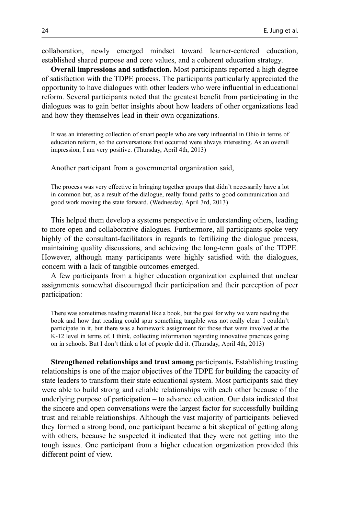collaboration, newly emerged mindset toward learner-centered education, established shared purpose and core values, and a coherent education strategy.

Overall impressions and satisfaction. Most participants reported a high degree of satisfaction with the TDPE process. The participants particularly appreciated the opportunity to have dialogues with other leaders who were influential in educational reform. Several participants noted that the greatest benefit from participating in the dialogues was to gain better insights about how leaders of other organizations lead and how they themselves lead in their own organizations.

It was an interesting collection of smart people who are very influential in Ohio in terms of education reform, so the conversations that occurred were always interesting. As an overall impression, I am very positive. (Thursday, April 4th, 2013)

Another participant from a governmental organization said,

The process was very effective in bringing together groups that didn't necessarily have a lot in common but, as a result of the dialogue, really found paths to good communication and good work moving the state forward. (Wednesday, April 3rd, 2013)

This helped them develop a systems perspective in understanding others, leading to more open and collaborative dialogues. Furthermore, all participants spoke very highly of the consultant-facilitators in regards to fertilizing the dialogue process, maintaining quality discussions, and achieving the long-term goals of the TDPE. However, although many participants were highly satisfied with the dialogues, concern with a lack of tangible outcomes emerged.

A few participants from a higher education organization explained that unclear assignments somewhat discouraged their participation and their perception of peer participation:

There was sometimes reading material like a book, but the goal for why we were reading the book and how that reading could spur something tangible was not really clear. I couldn't participate in it, but there was a homework assignment for those that were involved at the K-12 level in terms of, I think, collecting information regarding innovative practices going on in schools. But I don't think a lot of people did it. (Thursday, April 4th, 2013)

Strengthened relationships and trust among participants. Establishing trusting relationships is one of the major objectives of the TDPE for building the capacity of state leaders to transform their state educational system. Most participants said they were able to build strong and reliable relationships with each other because of the underlying purpose of participation – to advance education. Our data indicated that the sincere and open conversations were the largest factor for successfully building trust and reliable relationships. Although the vast majority of participants believed they formed a strong bond, one participant became a bit skeptical of getting along with others, because he suspected it indicated that they were not getting into the tough issues. One participant from a higher education organization provided this different point of view.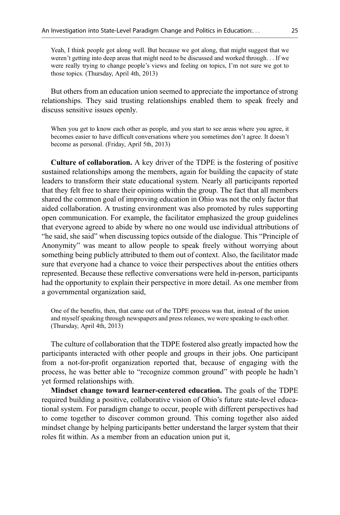Yeah, I think people got along well. But because we got along, that might suggest that we weren't getting into deep areas that might need to be discussed and worked through... If we were really trying to change people's views and feeling on topics, I'm not sure we got to those topics. (Thursday, April 4th, 2013)

But others from an education union seemed to appreciate the importance of strong relationships. They said trusting relationships enabled them to speak freely and discuss sensitive issues openly.

When you get to know each other as people, and you start to see areas where you agree, it becomes easier to have difficult conversations where you sometimes don't agree. It doesn't become as personal. (Friday, April 5th, 2013)

Culture of collaboration. A key driver of the TDPE is the fostering of positive sustained relationships among the members, again for building the capacity of state leaders to transform their state educational system. Nearly all participants reported that they felt free to share their opinions within the group. The fact that all members shared the common goal of improving education in Ohio was not the only factor that aided collaboration. A trusting environment was also promoted by rules supporting open communication. For example, the facilitator emphasized the group guidelines that everyone agreed to abide by where no one would use individual attributions of "he said, she said" when discussing topics outside of the dialogue. This "Principle of Anonymity" was meant to allow people to speak freely without worrying about something being publicly attributed to them out of context. Also, the facilitator made sure that everyone had a chance to voice their perspectives about the entities others represented. Because these reflective conversations were held in-person, participants had the opportunity to explain their perspective in more detail. As one member from a governmental organization said,

One of the benefits, then, that came out of the TDPE process was that, instead of the union and myself speaking through newspapers and press releases, we were speaking to each other. (Thursday, April 4th, 2013)

The culture of collaboration that the TDPE fostered also greatly impacted how the participants interacted with other people and groups in their jobs. One participant from a not-for-profit organization reported that, because of engaging with the process, he was better able to "recognize common ground" with people he hadn't yet formed relationships with.

Mindset change toward learner-centered education. The goals of the TDPE required building a positive, collaborative vision of Ohio's future state-level educational system. For paradigm change to occur, people with different perspectives had to come together to discover common ground. This coming together also aided mindset change by helping participants better understand the larger system that their roles fit within. As a member from an education union put it,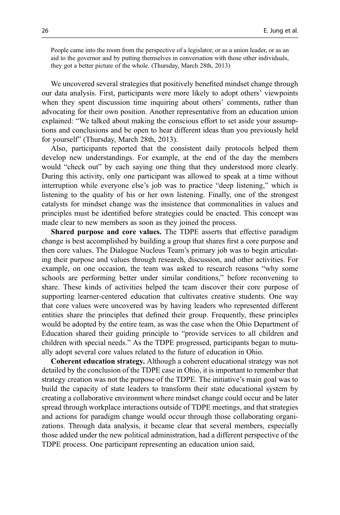People came into the room from the perspective of a legislator, or as a union leader, or as an aid to the governor and by putting themselves in conversation with those other individuals, they got a better picture of the whole. (Thursday, March 28th, 2013)

We uncovered several strategies that positively benefited mindset change through our data analysis. First, participants were more likely to adopt others' viewpoints when they spent discussion time inquiring about others' comments, rather than advocating for their own position. Another representative from an education union explained: "We talked about making the conscious effort to set aside your assumptions and conclusions and be open to hear different ideas than you previously held for yourself" (Thursday, March 28th, 2013).

Also, participants reported that the consistent daily protocols helped them develop new understandings. For example, at the end of the day the members would "check out" by each saying one thing that they understood more clearly. During this activity, only one participant was allowed to speak at a time without interruption while everyone else's job was to practice "deep listening," which is listening to the quality of his or her own listening. Finally, one of the strongest catalysts for mindset change was the insistence that commonalities in values and principles must be identified before strategies could be enacted. This concept was made clear to new members as soon as they joined the process.

Shared purpose and core values. The TDPE asserts that effective paradigm change is best accomplished by building a group that shares first a core purpose and then core values. The Dialogue Nucleus Team's primary job was to begin articulating their purpose and values through research, discussion, and other activities. For example, on one occasion, the team was asked to research reasons "why some schools are performing better under similar conditions," before reconvening to share. These kinds of activities helped the team discover their core purpose of supporting learner-centered education that cultivates creative students. One way that core values were uncovered was by having leaders who represented different entities share the principles that defined their group. Frequently, these principles would be adopted by the entire team, as was the case when the Ohio Department of Education shared their guiding principle to "provide services to all children and children with special needs." As the TDPE progressed, participants began to mutually adopt several core values related to the future of education in Ohio.

Coherent education strategy. Although a coherent educational strategy was not detailed by the conclusion of the TDPE case in Ohio, it is important to remember that strategy creation was not the purpose of the TDPE. The initiative's main goal was to build the capacity of state leaders to transform their state educational system by creating a collaborative environment where mindset change could occur and be later spread through workplace interactions outside of TDPE meetings, and that strategies and actions for paradigm change would occur through those collaborating organizations. Through data analysis, it became clear that several members, especially those added under the new political administration, had a different perspective of the TDPE process. One participant representing an education union said,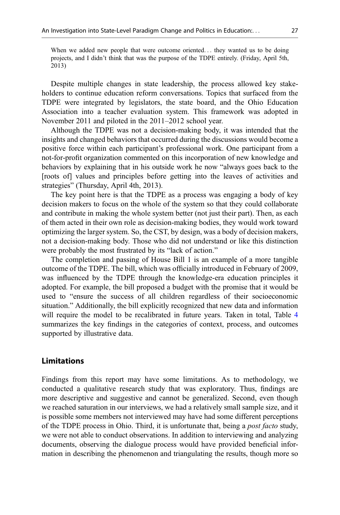When we added new people that were outcome oriented... they wanted us to be doing projects, and I didn't think that was the purpose of the TDPE entirely. (Friday, April 5th, 2013)

Despite multiple changes in state leadership, the process allowed key stakeholders to continue education reform conversations. Topics that surfaced from the TDPE were integrated by legislators, the state board, and the Ohio Education Association into a teacher evaluation system. This framework was adopted in November 2011 and piloted in the 2011–2012 school year.

Although the TDPE was not a decision-making body, it was intended that the insights and changed behaviors that occurred during the discussions would become a positive force within each participant's professional work. One participant from a not-for-profit organization commented on this incorporation of new knowledge and behaviors by explaining that in his outside work he now "always goes back to the [roots of] values and principles before getting into the leaves of activities and strategies" (Thursday, April 4th, 2013).

The key point here is that the TDPE as a process was engaging a body of key decision makers to focus on the whole of the system so that they could collaborate and contribute in making the whole system better (not just their part). Then, as each of them acted in their own role as decision-making bodies, they would work toward optimizing the larger system. So, the CST, by design, was a body of decision makers, not a decision-making body. Those who did not understand or like this distinction were probably the most frustrated by its "lack of action."

The completion and passing of House Bill 1 is an example of a more tangible outcome of the TDPE. The bill, which was officially introduced in February of 2009, was influenced by the TDPE through the knowledge-era education principles it adopted. For example, the bill proposed a budget with the promise that it would be used to "ensure the success of all children regardless of their socioeconomic situation." Additionally, the bill explicitly recognized that new data and information will require the model to be recalibrated in future years. Taken in total, Table [4](#page-27-0) summarizes the key findings in the categories of context, process, and outcomes supported by illustrative data.

# Limitations

Findings from this report may have some limitations. As to methodology, we conducted a qualitative research study that was exploratory. Thus, findings are more descriptive and suggestive and cannot be generalized. Second, even though we reached saturation in our interviews, we had a relatively small sample size, and it is possible some members not interviewed may have had some different perceptions of the TDPE process in Ohio. Third, it is unfortunate that, being a post facto study, we were not able to conduct observations. In addition to interviewing and analyzing documents, observing the dialogue process would have provided beneficial information in describing the phenomenon and triangulating the results, though more so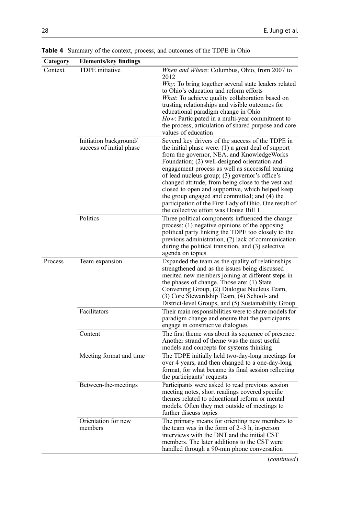| Category | <b>Elements/key findings</b>                       |                                                                                                                                                                                                                                                                                                                                                                                                                                                                                                                                                                               |
|----------|----------------------------------------------------|-------------------------------------------------------------------------------------------------------------------------------------------------------------------------------------------------------------------------------------------------------------------------------------------------------------------------------------------------------------------------------------------------------------------------------------------------------------------------------------------------------------------------------------------------------------------------------|
| Context  | <b>TDPE</b> initiative                             | When and Where: Columbus, Ohio, from 2007 to<br>2012<br>Why: To bring together several state leaders related<br>to Ohio's education and reform efforts<br>What: To achieve quality collaboration based on<br>trusting relationships and visible outcomes for<br>educational paradigm change in Ohio<br>How: Participated in a multi-year commitment to<br>the process; articulation of shared purpose and core<br>values of education                                                                                                                                         |
|          | Initiation background/<br>success of initial phase | Several key drivers of the success of the TDPE in<br>the initial phase were: $(1)$ a great deal of support<br>from the governor, NEA, and KnowledgeWorks<br>Foundation; (2) well-designed orientation and<br>engagement process as well as successful teaming<br>of lead nucleus group; (3) governor's office's<br>changed attitude, from being close to the vest and<br>closed to open and supportive, which helped keep<br>the group engaged and committed; and (4) the<br>participation of the First Lady of Ohio. One result of<br>the collective effort was House Bill 1 |
|          | Politics                                           | Three political components influenced the change<br>process: (1) negative opinions of the opposing<br>political party linking the TDPE too closely to the<br>previous administration, (2) lack of communication<br>during the political transition, and (3) selective<br>agenda on topics                                                                                                                                                                                                                                                                                     |
| Process  | Team expansion                                     | Expanded the team as the quality of relationships<br>strengthened and as the issues being discussed<br>merited new members joining at different steps in<br>the phases of change. Those are: (1) State<br>Convening Group, (2) Dialogue Nucleus Team,<br>(3) Core Stewardship Team, (4) School- and<br>District-level Groups, and (5) Sustainability Group                                                                                                                                                                                                                    |
|          | Facilitators                                       | Their main responsibilities were to share models for<br>paradigm change and ensure that the participants<br>engage in constructive dialogues                                                                                                                                                                                                                                                                                                                                                                                                                                  |
|          | Content                                            | The first theme was about its sequence of presence.<br>Another strand of theme was the most useful<br>models and concepts for systems thinking                                                                                                                                                                                                                                                                                                                                                                                                                                |
|          | Meeting format and time                            | The TDPE initially held two-day-long meetings for<br>over 4 years, and then changed to a one-day-long<br>format, for what became its final session reflecting<br>the participants' requests                                                                                                                                                                                                                                                                                                                                                                                   |
|          | Between-the-meetings                               | Participants were asked to read previous session<br>meeting notes, short readings covered specific<br>themes related to educational reform or mental<br>models. Often they met outside of meetings to<br>further discuss topics                                                                                                                                                                                                                                                                                                                                               |
|          | Orientation for new<br>members                     | The primary means for orienting new members to<br>the team was in the form of $2-3$ h, in-person<br>interviews with the DNT and the initial CST<br>members. The later additions to the CST were<br>handled through a 90-min phone conversation                                                                                                                                                                                                                                                                                                                                |

<span id="page-27-0"></span>Table 4 Summary of the context, process, and outcomes of the TDPE in Ohio

(continued)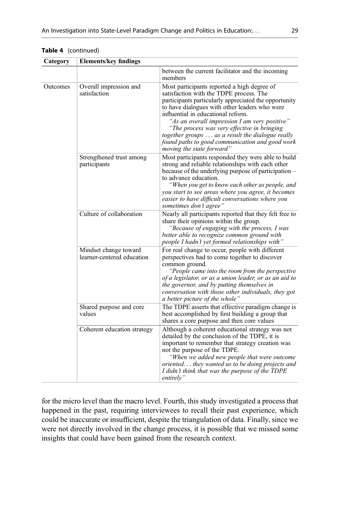| Category | <b>Elements/key findings</b>                        |                                                                                                                                                                                                                                                                                                                                                                                                                                                                            |
|----------|-----------------------------------------------------|----------------------------------------------------------------------------------------------------------------------------------------------------------------------------------------------------------------------------------------------------------------------------------------------------------------------------------------------------------------------------------------------------------------------------------------------------------------------------|
|          |                                                     | between the current facilitator and the incoming<br>members                                                                                                                                                                                                                                                                                                                                                                                                                |
| Outcomes | Overall impression and<br>satisfaction              | Most participants reported a high degree of<br>satisfaction with the TDPE process. The<br>participants particularly appreciated the opportunity<br>to have dialogues with other leaders who were<br>influential in educational reform.<br>"As an overall impression I am very positive"<br>"The process was very effective in bringing<br>together groups  as a result the dialogue really<br>found paths to good communication and good work<br>moving the state forward" |
|          | Strengthened trust among<br>participants            | Most participants responded they were able to build<br>strong and reliable relationships with each other<br>because of the underlying purpose of participation -<br>to advance education.<br>"When you get to know each other as people, and<br>you start to see areas where you agree, it becomes<br>easier to have difficult conversations where you<br>sometimes don't agree"                                                                                           |
|          | Culture of collaboration                            | Nearly all participants reported that they felt free to<br>share their opinions within the group.<br>"Because of engaging with the process, I was<br>better able to recognize common ground with<br>people I hadn't yet formed relationships with"                                                                                                                                                                                                                         |
|          | Mindset change toward<br>learner-centered education | For real change to occur, people with different<br>perspectives had to come together to discover<br>common ground.<br>"People came into the room from the perspective"<br>of a legislator, or as a union leader, or as an aid to<br>the governor, and by putting themselves in<br>conversation with those other individuals, they got<br>a better picture of the whole"                                                                                                    |
|          | Shared purpose and core<br>values                   | The TDPE asserts that effective paradigm change is<br>best accomplished by first building a group that<br>shares a core purpose and then core values                                                                                                                                                                                                                                                                                                                       |
|          | Coherent education strategy                         | Although a coherent educational strategy was not<br>detailed by the conclusion of the TDPE, it is<br>important to remember that strategy creation was<br>not the purpose of the TDPE.<br>"When we added new people that were outcome<br>oriented they wanted us to be doing projects and<br>I didn't think that was the purpose of the TDPE<br>entirely"                                                                                                                   |

#### Table 4 (continued)

for the micro level than the macro level. Fourth, this study investigated a process that happened in the past, requiring interviewees to recall their past experience, which could be inaccurate or insufficient, despite the triangulation of data. Finally, since we were not directly involved in the change process, it is possible that we missed some insights that could have been gained from the research context.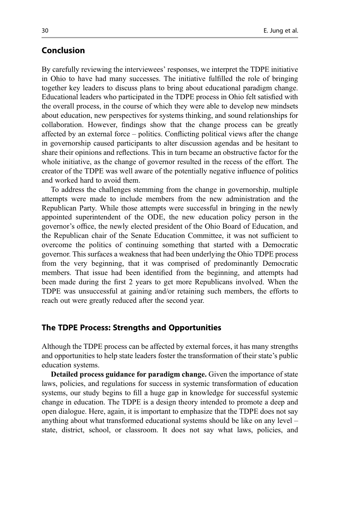# Conclusion

By carefully reviewing the interviewees' responses, we interpret the TDPE initiative in Ohio to have had many successes. The initiative fulfilled the role of bringing together key leaders to discuss plans to bring about educational paradigm change. Educational leaders who participated in the TDPE process in Ohio felt satisfied with the overall process, in the course of which they were able to develop new mindsets about education, new perspectives for systems thinking, and sound relationships for collaboration. However, findings show that the change process can be greatly affected by an external force – politics. Conflicting political views after the change in governorship caused participants to alter discussion agendas and be hesitant to share their opinions and reflections. This in turn became an obstructive factor for the whole initiative, as the change of governor resulted in the recess of the effort. The creator of the TDPE was well aware of the potentially negative influence of politics and worked hard to avoid them.

To address the challenges stemming from the change in governorship, multiple attempts were made to include members from the new administration and the Republican Party. While those attempts were successful in bringing in the newly appointed superintendent of the ODE, the new education policy person in the governor's office, the newly elected president of the Ohio Board of Education, and the Republican chair of the Senate Education Committee, it was not sufficient to overcome the politics of continuing something that started with a Democratic governor. This surfaces a weakness that had been underlying the Ohio TDPE process from the very beginning, that it was comprised of predominantly Democratic members. That issue had been identified from the beginning, and attempts had been made during the first 2 years to get more Republicans involved. When the TDPE was unsuccessful at gaining and/or retaining such members, the efforts to reach out were greatly reduced after the second year.

## The TDPE Process: Strengths and Opportunities

Although the TDPE process can be affected by external forces, it has many strengths and opportunities to help state leaders foster the transformation of their state's public education systems.

Detailed process guidance for paradigm change. Given the importance of state laws, policies, and regulations for success in systemic transformation of education systems, our study begins to fill a huge gap in knowledge for successful systemic change in education. The TDPE is a design theory intended to promote a deep and open dialogue. Here, again, it is important to emphasize that the TDPE does not say anything about what transformed educational systems should be like on any level – state, district, school, or classroom. It does not say what laws, policies, and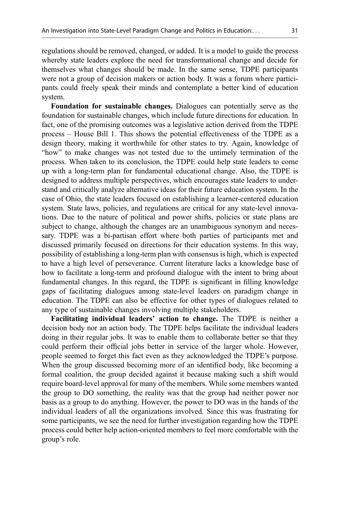regulations should be removed, changed, or added. It is a model to guide the process whereby state leaders explore the need for transformational change and decide for themselves what changes should be made. In the same sense, TDPE participants were not a group of decision makers or action body. It was a forum where participants could freely speak their minds and contemplate a better kind of education system.

Foundation for sustainable changes. Dialogues can potentially serve as the foundation for sustainable changes, which include future directions for education. In fact, one of the promising outcomes was a legislative action derived from the TDPE process – House Bill 1. This shows the potential effectiveness of the TDPE as a design theory, making it worthwhile for other states to try. Again, knowledge of "how" to make changes was not tested due to the untimely termination of the process. When taken to its conclusion, the TDPE could help state leaders to come up with a long-term plan for fundamental educational change. Also, the TDPE is designed to address multiple perspectives, which encourages state leaders to understand and critically analyze alternative ideas for their future education system. In the case of Ohio, the state leaders focused on establishing a learner-centered education system. State laws, policies, and regulations are critical for any state-level innovations. Due to the nature of political and power shifts, policies or state plans are subject to change, although the changes are an unambiguous synonym and necessary. TDPE was a bi-partisan effort where both parties of participants met and discussed primarily focused on directions for their education systems. In this way, possibility of establishing a long-term plan with consensus is high, which is expected to have a high level of perseverance. Current literature lacks a knowledge base of how to facilitate a long-term and profound dialogue with the intent to bring about fundamental changes. In this regard, the TDPE is significant in filling knowledge gaps of facilitating dialogues among state-level leaders on paradigm change in education. The TDPE can also be effective for other types of dialogues related to any type of sustainable changes involving multiple stakeholders.

Facilitating individual leaders' action to change. The TDPE is neither a decision body nor an action body. The TDPE helps facilitate the individual leaders doing in their regular jobs. It was to enable them to collaborate better so that they could perform their official jobs better in service of the larger whole. However, people seemed to forget this fact even as they acknowledged the TDPE's purpose. When the group discussed becoming more of an identified body, like becoming a formal coalition, the group decided against it because making such a shift would require board-level approval for many of the members. While some members wanted the group to DO something, the reality was that the group had neither power nor basis as a group to do anything. However, the power to DO was in the hands of the individual leaders of all the organizations involved. Since this was frustrating for some participants, we see the need for further investigation regarding how the TDPE process could better help action-oriented members to feel more comfortable with the group's role.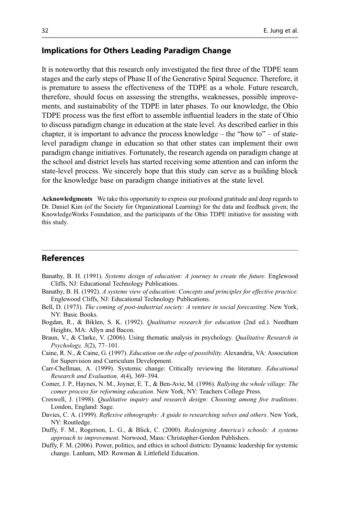# <span id="page-31-0"></span>Implications for Others Leading Paradigm Change

It is noteworthy that this research only investigated the first three of the TDPE team stages and the early steps of Phase II of the Generative Spiral Sequence. Therefore, it is premature to assess the effectiveness of the TDPE as a whole. Future research, therefore, should focus on assessing the strengths, weaknesses, possible improvements, and sustainability of the TDPE in later phases. To our knowledge, the Ohio TDPE process was the first effort to assemble influential leaders in the state of Ohio to discuss paradigm change in education at the state level. As described earlier in this chapter, it is important to advance the process knowledge – the "how to" – of statelevel paradigm change in education so that other states can implement their own paradigm change initiatives. Fortunately, the research agenda on paradigm change at the school and district levels has started receiving some attention and can inform the state-level process. We sincerely hope that this study can serve as a building block for the knowledge base on paradigm change initiatives at the state level.

Acknowledgments We take this opportunity to express our profound gratitude and deep regards to Dr. Daniel Kim (of the Society for Organizational Learning) for the data and feedback given; the KnowledgeWorks Foundation; and the participants of the Ohio TDPE initiative for assisting with this study.

# References

- Banathy, B. H. (1991). Systems design of education: A journey to create the future. Englewood Cliffs, NJ: Educational Technology Publications.
- Banathy, B. H. (1992). A systems view of education: Concepts and principles for effective practice. Englewood Cliffs, NJ: Educational Technology Publications.
- Bell, D. (1973). The coming of post-industrial society: A venture in social forecasting. New York, NY: Basic Books.
- Bogdan, R., & Biklen, S. K. (1992). *Qualitative research for education* (2nd ed.). Needham Heights, MA: Allyn and Bacon.
- Braun, V., & Clarke, V. (2006). Using thematic analysis in psychology. *Qualitative Research in* Psychology, 3(2), 77–101.
- Caine, R. N., & Caine, G. (1997). Education on the edge of possibility. Alexandria, VA: Association for Supervision and Curriculum Development.
- Carr-Chellman, A. (1999). Systemic change: Critically reviewing the literature. Educational Research and Evaluation, 4(4), 369–394.
- Comer, J. P., Haynes, N. M., Joyner, E. T., & Ben-Avie, M. (1996). Rallying the whole village: The comer process for reforming education. New York, NY: Teachers College Press.
- Creswell, J. (1998). Qualitative inquiry and research design: Choosing among five traditions. London, England: Sage.
- Davies, C. A. (1999). Reflexive ethnography: A guide to researching selves and others. New York, NY: Routledge.
- Duffy, F. M., Rogerson, L. G., & Blick, C. (2000). Redesigning America's schools: A systems approach to improvement. Norwood, Mass: Christopher-Gordon Publishers.
- Duffy, F. M. (2006). Power, politics, and ethics in school districts: Dynamic leadership for systemic change. Lanham, MD: Rowman & Littlefield Education.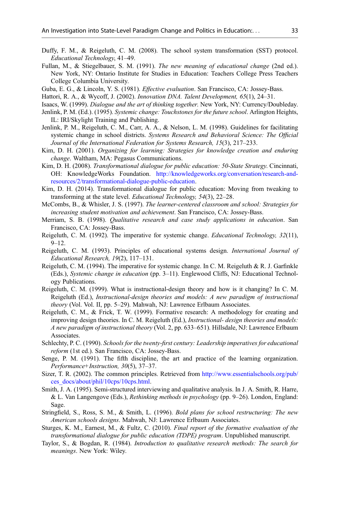- <span id="page-32-0"></span>Duffy, F. M., & Reigeluth, C. M. (2008). The school system transformation (SST) protocol. Educational Technology, 41–49.
- Fullan, M., & Stiegelbauer, S. M. (1991). The new meaning of educational change (2nd ed.). New York, NY: Ontario Institute for Studies in Education: Teachers College Press Teachers College Columbia University.
- Guba, E. G., & Lincoln, Y. S. (1981). *Effective evaluation*. San Francisco, CA: Jossey-Bass.
- Hattori, R. A., & Wycoff, J. (2002). Innovation DNA. Talent Development, 65(1), 24–31.
- Isaacs, W. (1999). Dialogue and the art of thinking together. New York, NY: Currency/Doubleday.
- Jenlink, P. M. (Ed.). (1995). Systemic change: Touchstones for the future school. Arlington Heights, IL: IRI/Skylight Training and Publishing.
- Jenlink, P. M., Reigeluth, C. M., Carr, A. A., & Nelson, L. M. (1998). Guidelines for facilitating systemic change in school districts. Systems Research and Behavioral Science: The Official Journal of the International Federation for Systems Research, 15(3), 217–233.
- Kim, D. H. (2001). Organizing for learning: Strategies for knowledge creation and enduring change. Waltham, MA: Pegasus Communications.
- Kim, D. H. (2008). Transformational dialogue for public education: 50-State Strategy. Cincinnati, OH: KnowledgeWorks Foundation. [http://knowledgeworks.org/conversation/research-and](http://knowledgeworks.org/conversation/research-and-resources/2/transformational-dialogue-public-education)[resources/2/transformational-dialogue-public-education](http://knowledgeworks.org/conversation/research-and-resources/2/transformational-dialogue-public-education).
- Kim, D. H. (2014). Transformational dialogue for public education: Moving from tweaking to transforming at the state level. *Educational Technology*, 54(3), 22–28.
- McCombs, B., & Whisler, J. S. (1997). The learner-centered classroom and school: Strategies for increasing student motivation and achievement. San Francisco, CA: Jossey-Bass.
- Merriam, S. B. (1998). Qualitative research and case study applications in education. San Francisco, CA: Jossey-Bass.
- Reigeluth, C. M. (1992). The imperative for systemic change. *Educational Technology*, 32(11), 9–12.
- Reigeluth, C. M. (1993). Principles of educational systems design. International Journal of Educational Research, 19(2), 117–131.
- Reigeluth, C. M. (1994). The imperative for systemic change. In C. M. Reigeluth & R. J. Garfinkle (Eds.), Systemic change in education (pp. 3–11). Englewood Cliffs, NJ: Educational Technology Publications.
- Reigeluth, C. M. (1999). What is instructional-design theory and how is it changing? In C. M. Reigeluth (Ed.), Instructional-design theories and models: A new paradigm of instructional theory (Vol. Vol. II, pp. 5–29). Mahwah, NJ: Lawrence Erlbaum Associates.
- Reigeluth, C. M., & Frick, T. W. (1999). Formative research: A methodology for creating and improving design theories. In C. M. Reigeluth (Ed.), *Instructional- design theories and models:* A new paradigm of instructional theory (Vol. 2, pp. 633–651). Hillsdale, NJ: Lawrence Erlbaum Associates.
- Schlechty, P. C. (1990). Schools for the twenty-first century: Leadership imperatives for educational reform (1st ed.). San Francisco, CA: Jossey-Bass.
- Senge, P. M. (1991). The fifth discipline, the art and practice of the learning organization. Performance+Instruction, 30(5), 37–37.
- Sizer, T. R. (2002). The common principles. Retrieved from [http://www.essentialschools.org/pub/](http://www.essentialschools.org/pub/ces_docs/about/phil/10cps/10cps.html) [ces\\_docs/about/phil/10cps/10cps.html.](http://www.essentialschools.org/pub/ces_docs/about/phil/10cps/10cps.html)
- Smith, J. A. (1995). Semi-structured interviewing and qualitative analysis. In J. A. Smith, R. Harre, & L. Van Langengove (Eds.), Rethinking methods in psychology (pp. 9–26). London, England: Sage.
- Stringfield, S., Ross, S. M., & Smith, L. (1996). Bold plans for school restructuring: The new American schools designs. Mahwah, NJ: Lawrence Erlbaum Associates.
- Sturges, K. M., Earnest, M., & Fultz, C. (2010). Final report of the formative evaluation of the transformational dialogue for public education (TDPE) program. Unpublished manuscript.
- Taylor, S., & Bogdan, R. (1984). Introduction to qualitative research methods: The search for meanings. New York: Wiley.